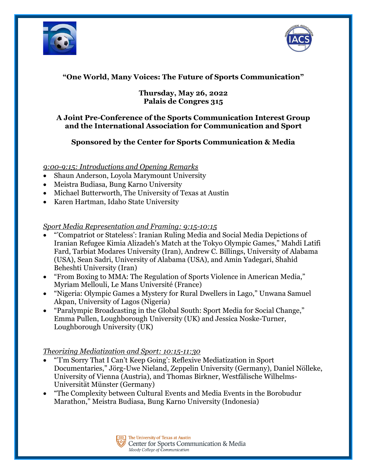



# **"One World, Many Voices: The Future of Sports Communication"**

### **Thursday, May 26, 2022 Palais de Congres 315**

### **A Joint Pre-Conference of the Sports Communication Interest Group and the International Association for Communication and Sport**

## **Sponsored by the Center for Sports Communication & Media**

*9:00-9:15: Introductions and Opening Remarks*

- Shaun Anderson, Loyola Marymount University
- Meistra Budiasa, Bung Karno University
- Michael Butterworth, The University of Texas at Austin
- Karen Hartman, Idaho State University

## *Sport Media Representation and Framing: 9:15-10:15*

- "'Compatriot or Stateless': Iranian Ruling Media and Social Media Depictions of Iranian Refugee Kimia Alizadeh's Match at the Tokyo Olympic Games," Mahdi Latifi Fard, Tarbiat Modares University (Iran), Andrew C. Billings, University of Alabama (USA), Sean Sadri, University of Alabama (USA), and Amin Yadegari, Shahid Beheshti University (Iran)
- "From Boxing to MMA: The Regulation of Sports Violence in American Media," Myriam Mellouli, Le Mans Université (France)
- "Nigeria: Olympic Games a Mystery for Rural Dwellers in Lago," Unwana Samuel Akpan, University of Lagos (Nigeria)
- "Paralympic Broadcasting in the Global South: Sport Media for Social Change," Emma Pullen, Loughborough University (UK) and Jessica Noske-Turner, Loughborough University (UK)

# *Theorizing Mediatization and Sport: 10:15-11:30*

- "'I'm Sorry That I Can't Keep Going': Reflexive Mediatization in Sport Documentaries," Jörg-Uwe Nieland, Zeppelin University (Germany), Daniel Nölleke, University of Vienna (Austria), and Thomas Birkner, Westfälische Wilhelms-Universität Münster (Germany)
- "The Complexity between Cultural Events and Media Events in the Borobudur Marathon," Meistra Budiasa, Bung Karno University (Indonesia)

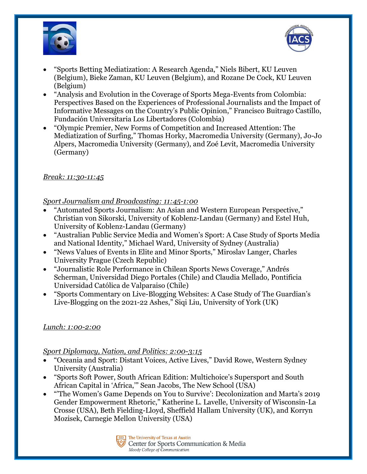



- "Sports Betting Mediatization: A Research Agenda," Niels Bibert, KU Leuven (Belgium), Bieke Zaman, KU Leuven (Belgium), and Rozane De Cock, KU Leuven (Belgium)
- "Analysis and Evolution in the Coverage of Sports Mega-Events from Colombia: Perspectives Based on the Experiences of Professional Journalists and the Impact of Informative Messages on the Country's Public Opinion," Francisco Buitrago Castillo, Fundación Universitaria Los Libertadores (Colombia)
- "Olympic Premier, New Forms of Competition and Increased Attention: The Mediatization of Surfing," Thomas Horky, Macromedia University (Germany), Jo-Jo Alpers, Macromedia University (Germany), and Zoé Levit, Macromedia University (Germany)

#### *Break: 11:30-11:45*

#### *Sport Journalism and Broadcasting: 11:45-1:00*

- "Automated Sports Journalism: An Asian and Western European Perspective," Christian von Sikorski, University of Koblenz-Landau (Germany) and Estel Huh, University of Koblenz-Landau (Germany)
- "Australian Public Service Media and Women's Sport: A Case Study of Sports Media and National Identity," Michael Ward, University of Sydney (Australia)
- "News Values of Events in Elite and Minor Sports," Miroslav Langer, Charles University Prague (Czech Republic)
- "Journalistic Role Performance in Chilean Sports News Coverage," Andrés Scherman, Universidad Diego Portales (Chile) and Claudia Mellado, Pontificia Universidad Católica de Valparaiso (Chile)
- "Sports Commentary on Live-Blogging Websites: A Case Study of The Guardian's Live-Blogging on the 2021-22 Ashes," Siqi Liu, University of York (UK)

### *Lunch: 1:00-2:00*

#### *Sport Diplomacy, Nation, and Politics: 2:00-3:15*

- "Oceania and Sport: Distant Voices, Active Lives," David Rowe, Western Sydney University (Australia)
- "Sports Soft Power, South African Edition: Multichoice's Supersport and South African Capital in 'Africa,'" Sean Jacobs, The New School (USA)
- "'The Women's Game Depends on You to Survive': Decolonization and Marta's 2019 Gender Empowerment Rhetoric," Katherine L. Lavelle, University of Wisconsin-La Crosse (USA), Beth Fielding-Lloyd, Sheffield Hallam University (UK), and Korryn Mozisek, Carnegie Mellon University (USA)

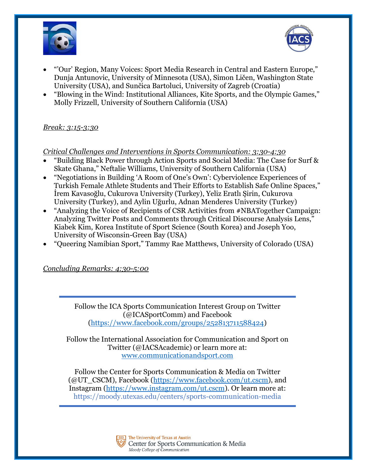



- "'Our' Region, Many Voices: Sport Media Research in Central and Eastern Europe," Dunja Antunovic, University of Minnesota (USA), Simon Ličen, Washington State University (USA), and Sunčica Bartoluci, University of Zagreb (Croatia)
- "Blowing in the Wind: Institutional Alliances, Kite Sports, and the Olympic Games," Molly Frizzell, University of Southern California (USA)

### *Break: 3:15-3:30*

*Critical Challenges and Interventions in Sports Communication: 3:30-4:30*

- "Building Black Power through Action Sports and Social Media: The Case for Surf & Skate Ghana," Neftalie Williams, University of Southern California (USA)
- "Negotiations in Building 'A Room of One's Own': Cyberviolence Experiences of Turkish Female Athlete Students and Their Efforts to Establish Safe Online Spaces," İrem Kavasoğlu, Cukurova University (Turkey), Yeliz Eratlı Şirin, Cukurova University (Turkey), and Aylin Uğurlu, Adnan Menderes University (Turkey)
- "Analyzing the Voice of Recipients of CSR Activities from #NBATogether Campaign: Analyzing Twitter Posts and Comments through Critical Discourse Analysis Lens," Kiabek Kim, Korea Institute of Sport Science (South Korea) and Joseph Yoo, University of Wisconsin-Green Bay (USA)
- "Queering Namibian Sport," Tammy Rae Matthews, University of Colorado (USA)

*Concluding Remarks: 4:30-5:00*

Follow the ICA Sports Communication Interest Group on Twitter (@ICASportComm) and Facebook [\(https://www.facebook.com/groups/252813711588424\)](https://www.facebook.com/groups/252813711588424)

Follow the International Association for Communication and Sport on Twitter (@IACSAcademic) or learn more at: [www.communicationandsport.com](http://www.communicationandsport.com/)

Follow the Center for Sports Communication & Media on Twitter (@UT\_CSCM), Facebook [\(https://www.facebook.com/ut.cscm\)](https://www.facebook.com/ut.cscm), and Instagram [\(https://www.instagram.com/ut.cscm\)](https://www.instagram.com/ut.cscm). Or learn more at: https://moody.utexas.edu/centers/sports-communication-media

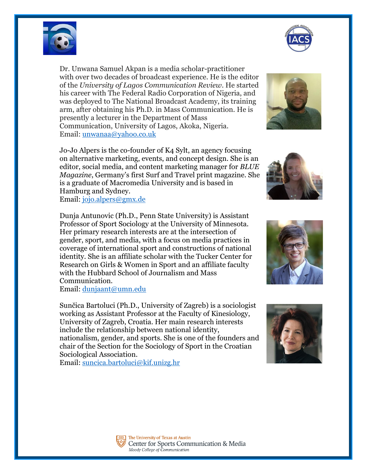

Dr. Unwana Samuel Akpan is a media scholar-practitioner with over two decades of broadcast experience. He is the editor of the *University of Lagos Communication Review*. He started his career with The Federal Radio Corporation of Nigeria, and was deployed to The National Broadcast Academy, its training arm, after obtaining his Ph.D. in Mass Communication. He is presently a lecturer in the Department of Mass Communication, University of Lagos, Akoka, Nigeria. Email: [unwanaa@yahoo.co.uk](mailto:unwanaa@yahoo.co.uk)

Jo-Jo Alpers is the co-founder of K4 Sylt, an agency focusing on alternative marketing, events, and concept design. She is an editor, social media, and content marketing manager for *BLUE Magazine*, Germany's first Surf and Travel print magazine. She is a graduate of Macromedia University and is based in Hamburg and Sydney. Email: [jojo.alpers@gmx.de](mailto:jojo.alpers@gmx.de)

Dunja Antunovic (Ph.D., Penn State University) is Assistant Professor of Sport Sociology at the University of Minnesota. Her primary research interests are at the intersection of gender, sport, and media, with a focus on media practices in coverage of international sport and constructions of national identity. She is an affiliate scholar with the Tucker Center for Research on Girls & Women in Sport and an affiliate faculty with the Hubbard School of Journalism and Mass Communication.

Email: [dunjaant@umn.edu](mailto:dunjaant@umn.edu)

Sunčica Bartoluci (Ph.D., University of Zagreb) is a sociologist working as Assistant Professor at the Faculty of Kinesiology, University of Zagreb, Croatia. Her main research interests include the relationship between national identity, nationalism, gender, and sports. She is one of the founders and chair of the Section for the Sociology of Sport in the Croatian Sociological Association.

Email: [suncica.bartoluci@kif.unizg.hr](mailto:suncica.bartoluci@kif.unizg.hr)











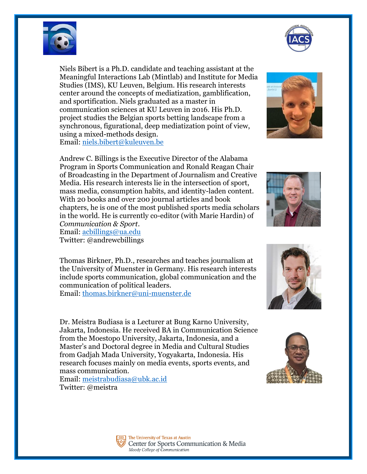



mass communication. Email: [meistrabudiasa@ubk.ac.id](mailto:meistrabudiasa@ubk.ac.id) Twitter: @meistra

Dr. Meistra Budiasa is a Lecturer at Bung Karno University, Jakarta, Indonesia. He received BA in Communication Science from the Moestopo University, Jakarta, Indonesia, and a Master's and Doctoral degree in Media and Cultural Studies from Gadjah Mada University, Yogyakarta, Indonesia. His research focuses mainly on media events, sports events, and

Twitter: @andrewcbillings Thomas Birkner, Ph.D., researches and teaches journalism at the University of Muenster in Germany. His research interests include sports communication, global communication and the communication of political leaders. Email: [thomas.birkner@uni-muenster.de](mailto:thomas.birkner@uni-muenster.de)

Andrew C. Billings is the Executive Director of the Alabama Program in Sports Communication and Ronald Reagan Chair of Broadcasting in the Department of Journalism and Creative Media. His research interests lie in the intersection of sport, mass media, consumption habits, and identity-laden content. With 20 books and over 200 journal articles and book chapters, he is one of the most published sports media scholars in the world. He is currently co-editor (with Marie Hardin) of *Communication & Sport*. Email: [acbillings@ua.edu](mailto:acbillings@ua.edu)

Niels Bibert is a Ph.D. candidate and teaching assistant at the Meaningful Interactions Lab (Mintlab) and Institute for Media Studies (IMS), KU Leuven, Belgium. His research interests center around the concepts of mediatization, gamblification, and sportification. Niels graduated as a master in communication sciences at KU Leuven in 2016. His Ph.D. project studies the Belgian sports betting landscape from a synchronous, figurational, deep mediatization point of view, using a mixed-methods design. Email: [niels.bibert@kuleuven.be](mailto:niels.bibert@kuleuven.be)











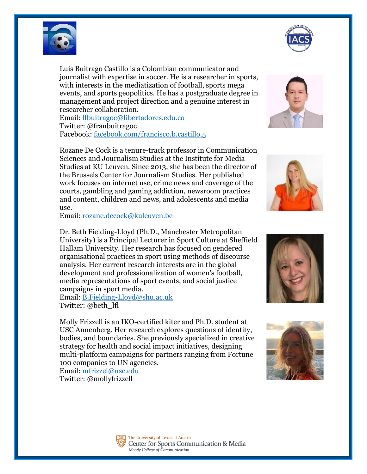

Luis Buitrago Castillo is a Colombian communicator and journalist with expertise in soccer. He is a researcher in sports, with interests in the mediatization of football, sports mega events, and sports geopolitics. He has a postgraduate degree in management and project direction and a genuine interest in researcher collaboration.

Email: [lfbuitragoc@libertadores.edu.co](mailto:lfbuitragoc@libertadores.edu.co) Twitter: @franbuitragoc Facebook: [facebook.com/francisco.b.castillo.5](https://nam12.safelinks.protection.outlook.com/?url=http%3A%2F%2Ffacebook.com%2Ffrancisco.b.castillo.5&data=04%7C01%7C%7C2248bfa6f1ee4d2f3f7308da17597a56%7C31d7e2a5bdd8414e9e97bea998ebdfe1%7C0%7C0%7C637847970323830288%7CUnknown%7CTWFpbGZsb3d8eyJWIjoiMC4wLjAwMDAiLCJQIjoiV2luMzIiLCJBTiI6Ik1haWwiLCJXVCI6Mn0%3D%7C0&sdata=X4luZqwGH72lJ9rl%2FSmjcdjLj6956m9bzUeMvNnxSt0%3D&reserved=0)

Rozane De Cock is a tenure-track professor in Communication Sciences and Journalism Studies at the Institute for Media Studies at KU Leuven. Since 2013, she has been the director of the Brussels Center for Journalism Studies. Her published work focuses on internet use, crime news and coverage of the courts, gambling and gaming addiction, newsroom practices and content, children and news, and adolescents and media use.

Email: [rozane.decock@kuleuven.be](mailto:rozane.decock@kuleuven.be)

Dr. Beth Fielding-Lloyd (Ph.D., Manchester Metropolitan University) is a Principal Lecturer in Sport Culture at Sheffield Hallam University. Her research has focused on gendered organisational practices in sport using methods of discourse analysis. Her current research interests are in the global development and professionalization of women's football, media representations of sport events, and social justice campaigns in sport media.

Email: [B.Fielding-Lloyd@shu.ac.uk](mailto:B.Fielding-Lloyd@shu.ac.uk) Twitter: @beth\_lfl

Molly Frizzell is an IKO-certified kiter and Ph.D. student at USC Annenberg. Her research explores questions of identity, bodies, and boundaries. She previously specialized in creative strategy for health and social impact initiatives, designing multi-platform campaigns for partners ranging from Fortune 100 companies to UN agencies.

Email: [mfrizzel@usc.edu](mailto:mfrizzel@usc.edu) Twitter: @mollyfrizzell











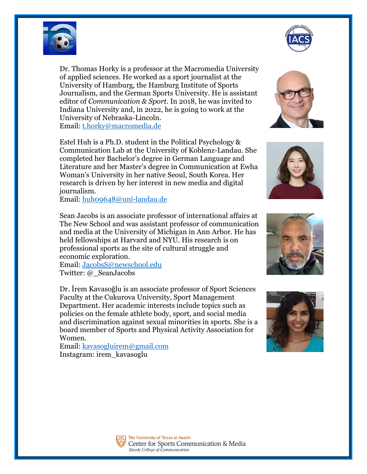

Dr. Thomas Horky is a professor at the Macromedia University of applied sciences. He worked as a sport journalist at the University of Hamburg, the Hamburg Institute of Sports Journalism, and the German Sports University. He is assistant editor of *Communication & Sport.* In 2018, he was invited to Indiana University and, in 2022, he is going to work at the University of Nebraska-Lincoln. Email: [t.horky@macromedia.de](mailto:t.horky@macromedia.de)

Estel Huh is a Ph.D. student in the Political Psychology & Communication Lab at the University of Koblenz-Landau. She completed her Bachelor's degree in German Language and Literature and her Master's degree in Communication at Ewha Woman's University in her native Seoul, South Korea. Her research is driven by her interest in new media and digital journalism.

Email: [huh09648@uni-landau.de](mailto:huh09648@uni-landau.de)

Sean Jacobs is an associate professor of international affairs at The New School and was assistant professor of communication and media at the University of Michigan in Ann Arbor. He has held fellowships at Harvard and NYU. His research is on professional sports as the site of cultural struggle and economic exploration.

Email: [JacobsS@newschool.edu](mailto:JacobsS@newschool.edu) Twitter: @\_SeanJacobs

Dr. İrem Kavasoğlu is an associate professor of Sport Sciences Faculty at the Cukurova University, Sport Management Department. Her academic interests include topics such as policies on the female athlete body, sport, and social media and discrimination against sexual minorities in sports. She is a board member of Sports and Physical Activity Association for Women.

Email: [kavasogluirem@gmail.com](mailto:kavasogluirem@gmail.com) Instagram: irem\_kavasoglu













The University of Texas at Austin Center for Sports Communication & Media Moody College of Communication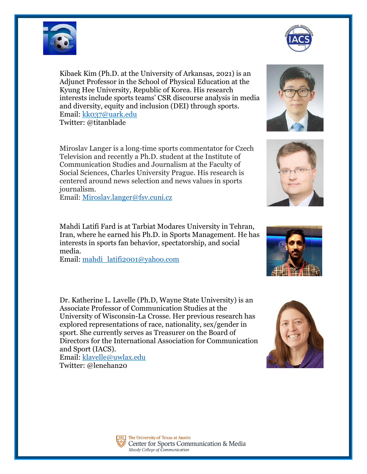

Kibaek Kim (Ph.D. at the University of Arkansas, 2021) is an Adjunct Professor in the School of Physical Education at the Kyung Hee University, Republic of Korea. His research interests include sports teams' CSR discourse analysis in media and diversity, equity and inclusion (DEI) through sports. Email: [kk037@uark.edu](mailto:kk037@uark.edu) Twitter: @titanblade

Miroslav Langer is a long-time sports commentator for Czech Television and recently a Ph.D. student at the Institute of Communication Studies and Journalism at the Faculty of Social Sciences, Charles University Prague. His research is centered around news selection and news values in sports journalism.

Email: [Miroslav.langer@fsv.cuni.cz](mailto:Miroslav.langer@fsv.cuni.cz)

Mahdi Latifi Fard is at Tarbiat Modares University in Tehran, Iran, where he earned his Ph.D. in Sports Management. He has interests in sports fan behavior, spectatorship, and social media.

Email: [mahdi\\_latifi2001@yahoo.com](mailto:mahdi_latifi2001@yahoo.com)

Dr. Katherine L. Lavelle (Ph.D, Wayne State University) is an Associate Professor of Communication Studies at the University of Wisconsin-La Crosse. Her previous research has explored representations of race, nationality, sex/gender in sport. She currently serves as Treasurer on the Board of Directors for the International Association for Communication and Sport (IACS).

Email: [klavelle@uwlax.edu](mailto:klavelle@uwlax.edu) Twitter: @lenehan20









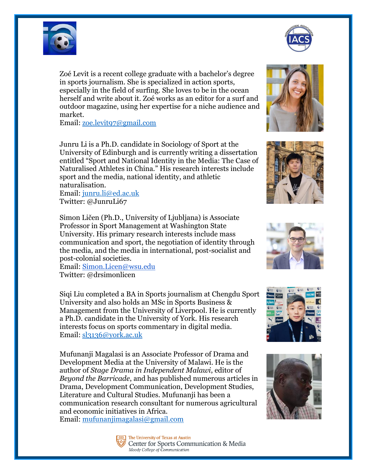

Zoé Levit is a recent college graduate with a bachelor's degree in sports journalism. She is specialized in action sports, especially in the field of surfing. She loves to be in the ocean herself and write about it. Zoé works as an editor for a surf and outdoor magazine, using her expertise for a niche audience and market.

Email: [zoe.levit97@gmail.com](mailto:zoe.levit97@gmail.com)

Junru Li is a Ph.D. candidate in Sociology of Sport at the University of Edinburgh and is currently writing a dissertation entitled "Sport and National Identity in the Media: The Case of Naturalised Athletes in China." His research interests include sport and the media, national identity, and athletic naturalisation.

Email: [junru.li@ed.ac.uk](mailto:junru.li@ed.ac.uk) Twitter: @JunruLi67

Simon Ličen (Ph.D., University of Ljubljana) is Associate Professor in Sport Management at Washington State University. His primary research interests include mass communication and sport, the negotiation of identity through the media, and the media in international, post-socialist and post-colonial societies.

Email: [Simon.Licen@wsu.edu](mailto:Simon.Licen@wsu.edu) Twitter: @drsimonlicen

Siqi Liu completed a BA in Sports journalism at Chengdu Sport University and also holds an MSc in Sports Business & Management from the University of Liverpool. He is currently a Ph.D. candidate in the University of York. His research interests focus on sports commentary in digital media. Email: [sl3136@york.ac.uk](mailto:sl3136@york.ac.uk)

Mufunanji Magalasi is an Associate Professor of Drama and Development Media at the University of Malawi. He is the author of *Stage Drama in Independent Malawi*, editor of *Beyond the Barricade*, and has published numerous articles in Drama, Development Communication, Development Studies, Literature and Cultural Studies. Mufunanji has been a communication research consultant for numerous agricultural and economic initiatives in Africa.

Email: [mufunanjimagalasi@gmail.com](mailto:mufunanjimagalasi@gmail.com)















The University of Texas at Austin Center for Sports Communication & Media Moody College of Communication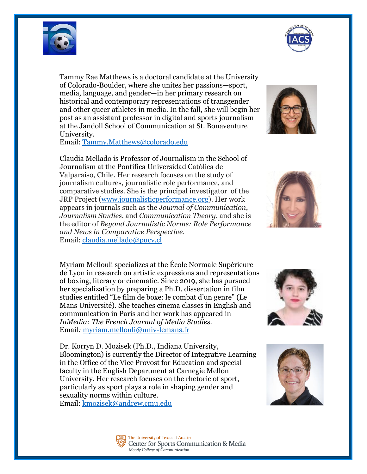

Tammy Rae Matthews is a doctoral candidate at the University of Colorado-Boulder, where she unites her passions—sport, media, language, and gender—in her primary research on historical and contemporary representations of transgender and other queer athletes in media. In the fall, she will begin her post as an assistant professor in digital and sports journalism at the Jandoll School of Communication at St. Bonaventure University.

Email: [Tammy.Matthews@colorado.edu](mailto:Tammy.Matthews@colorado.edu)

Claudia Mellado is Professor of Journalism in the School of Journalism at the Pontifica Universidad Católica de Valparaíso, Chile. Her research focuses on the study of journalism cultures, journalistic role performance, and comparative studies. She is the principal investigator of the JRP Project [\(www.journalisticperformance.org\)](https://nam12.safelinks.protection.outlook.com/?url=http%3A%2F%2Fwww.journalisticperformance.org%2F&data=05%7C01%7C%7C7ba78919bf6b46c6ed0608da23107ed8%7C31d7e2a5bdd8414e9e97bea998ebdfe1%7C0%7C0%7C637860851011813438%7CUnknown%7CTWFpbGZsb3d8eyJWIjoiMC4wLjAwMDAiLCJQIjoiV2luMzIiLCJBTiI6Ik1haWwiLCJXVCI6Mn0%3D%7C3000%7C%7C%7C&sdata=GnoxIvBRqzL54JcP0I70T3%2F8ghobxxF5sJTkBgB6od8%3D&reserved=0). Her work appears in journals such as the *Journal of Communication*, *Journalism Studies*, and *Communication Theory*, and she is the editor of *Beyond Journalistic Norms: Role Performance and News in Comparative Perspective*. Email: [claudia.mellado@pucv.cl](mailto:claudia.mellado@pucv.cl)

Myriam Mellouli specializes at the École Normale Supérieure de Lyon in research on artistic expressions and representations of boxing, literary or cinematic. Since 2019, she has pursued her specialization by preparing a Ph.D. dissertation in film studies entitled "Le film de boxe: le combat d'un genre" (Le Mans Université). She teaches cinema classes in English and communication in Paris and her work has appeared in *InMedia: The French Journal of Media Studies.* Email*:* [myriam.mellouli@univ-lemans.fr](mailto:myriam.mellouli@univ-lemans.fr)

Dr. Korryn D. Mozisek (Ph.D., Indiana University, Bloomington) is currently the Director of Integrative Learning in the Office of the Vice Provost for Education and special faculty in the English Department at Carnegie Mellon University. Her research focuses on the rhetoric of sport, particularly as sport plays a role in shaping gender and sexuality norms within culture.













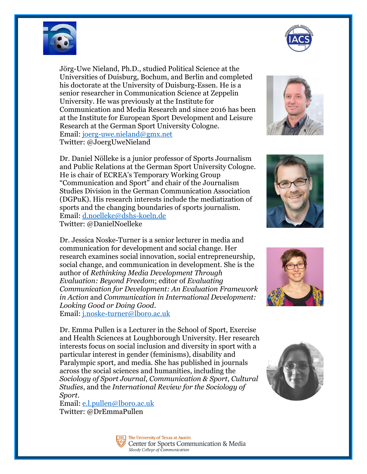

Jörg-Uwe Nieland, Ph.D., studied Political Science at the Universities of Duisburg, Bochum, and Berlin and completed his doctorate at the University of Duisburg-Essen. He is a senior researcher in Communication Science at Zeppelin University. He was previously at the Institute for Communication and Media Research and since 2016 has been at the Institute for European Sport Development and Leisure Research at the German Sport University Cologne. Email: [joerg-uwe.nieland@gmx.net](mailto:joerg-uwe.nieland@gmx.net) Twitter: @JoergUweNieland

Dr. Daniel Nölleke is a junior professor of Sports Journalism and Public Relations at the German Sport University Cologne. He is chair of ECREA's Temporary Working Group "Communication and Sport" and chair of the Journalism Studies Division in the German Communication Association (DGPuK). His research interests include the mediatization of sports and the changing boundaries of sports journalism. Email: [d.noelleke@dshs-koeln.de](mailto:d.noelleke@dshs-koeln.de) Twitter: @DanielNoelleke

Dr. Jessica Noske-Turner is a senior lecturer in media and communication for development and social change. Her research examines social innovation, social entrepreneurship, social change, and communication in development. She is the author of *Rethinking Media Development Through Evaluation: Beyond Freedom*; editor of *Evaluating Communication for Development: An Evaluation Framework in Action* and *Communication in International Development: Looking Good or Doing Good*. Email: [j.noske-turner@lboro.ac.uk](mailto:j.noske-turner@lboro.ac.uk)

Dr. Emma Pullen is a Lecturer in the School of Sport, Exercise and Health Sciences at Loughborough University. Her research interests focus on social inclusion and diversity in sport with a particular interest in gender (feminisms), disability and Paralympic sport, and media. She has published in journals across the social sciences and humanities, including the *Sociology of Sport Journal*, *Communication & Sport*, *Cultural Studies*, and the *International Review for the Sociology of Sport*.

Email: [e.l.pullen@lboro.ac.uk](mailto:e.l.pullen@lboro.ac.uk) Twitter: @DrEmmaPullen











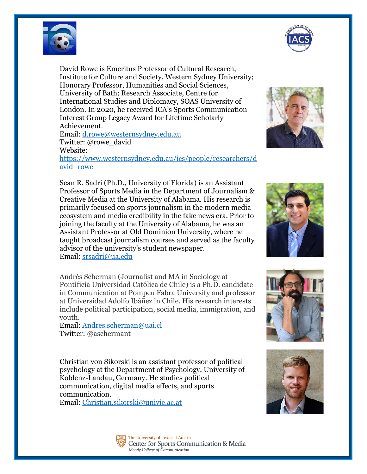

David Rowe is Emeritus Professor of Cultural Research, Institute for Culture and Society, Western Sydney University; Honorary Professor, Humanities and Social Sciences, University of Bath; Research Associate, Centre for International Studies and Diplomacy, SOAS University of London. In 2020, he received ICA's Sports Communication Interest Group Legacy Award for Lifetime Scholarly Achievement.

Email: [d.rowe@westernsydney.edu.au](mailto:d.rowe@westernsydney.edu.au) Twitter: @rowe\_david

Website:

[https://www.westernsydney.edu.au/ics/people/researchers/d](https://www.westernsydney.edu.au/ics/people/researchers/david_rowe) [avid\\_rowe](https://www.westernsydney.edu.au/ics/people/researchers/david_rowe)

Sean R. Sadri (Ph.D., University of Florida) is an Assistant Professor of Sports Media in the Department of Journalism & Creative Media at the University of Alabama. His research is primarily focused on sports journalism in the modern media ecosystem and media credibility in the fake news era. Prior to joining the faculty at the University of Alabama, he was an Assistant Professor at Old Dominion University, where he taught broadcast journalism courses and served as the faculty advisor of the university's student newspaper. Email: [srsadri@ua.edu](mailto:srsadri@ua.edu)

Andrés Scherman (Journalist and MA in Sociology at Pontificia Universidad Católica de Chile) is a Ph.D. candidate in Communication at Pompeu Fabra University and professor at Universidad Adolfo Ibáñez in Chile. His research interests include political participation, social media, immigration, and youth.

Email: [Andres.scherman@uai.cl](mailto:Andres.scherman@uai.cl) Twitter: @aschermant

Christian von Sikorski is an assistant professor of political psychology at the Department of Psychology, University of Koblenz-Landau, Germany. He studies political communication, digital media effects, and sports communication.

Email: [Christian.sikorski@univie.ac.at](mailto:Christian.sikorski@univie.ac.at)











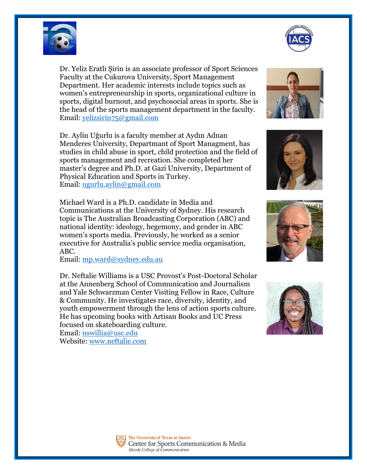

Dr. Yeliz Eratlı Şirin is an associate professor of Sport Sciences Faculty at the Cukurova University, Sport Management Department. Her academic interests include topics such as women's entrepreneurship in sports, organizational culture in sports, digital burnout, and psychosocial areas in sports. She is the head of the sports management department in the faculty. Email: [yelizsirin75@gmail.com](mailto:yelizsirin75@gmail.com)

Dr. Aylin Uğurlu is a faculty member at Aydın Adnan Menderes University, Departmant of Sport Managment, has studies in child abuse in sport, child protection and the field of sports management and recreation. She completed her master's degree and Ph.D. at Gazi University, Department of Physical Education and Sports in Turkey. Email: [ugurlu.aylin@gmail.com](mailto:ugurlu.aylin@gmail.com)

Michael Ward is a Ph.D. candidate in Media and Communications at the University of Sydney. His research topic is The Australian Broadcasting Corporation (ABC) and national identity: ideology, hegemony, and gender in ABC women's sports media. Previously, he worked as a senior executive for Australia's public service media organisation, ABC.

Email: [mp.ward@sydney.edu.au](mailto:mp.ward@sydney.edu.au)

Dr. Neftalie Williams is a USC Provost's Post-Doctoral Scholar at the Annenberg School of Communication and Journalism and Yale Schwarzman Center Visiting Fellow in Race, Culture & Community. He investigates race, diversity, identity, and youth empowerment through the lens of action sports culture. He has upcoming books with Artisan Books and UC Press focused on skateboarding culture. Email: [nswillia@usc.edu](mailto:nswillia@usc.edu)

Website: [www.neftalie.com](https://nam12.safelinks.protection.outlook.com/?url=http%3A%2F%2Fwww.neftalie.com%2F&data=04%7C01%7C%7Cdb2fd7f79912468516f508da2027faf4%7C31d7e2a5bdd8414e9e97bea998ebdfe1%7C0%7C0%7C637857653359622541%7CUnknown%7CTWFpbGZsb3d8eyJWIjoiMC4wLjAwMDAiLCJQIjoiV2luMzIiLCJBTiI6Ik1haWwiLCJXVCI6Mn0%3D%7C3000&sdata=9x1%2BvknWyUlm1KsxCm2SdTyutOmeG2zDa2b3NCd9fB4%3D&reserved=0)